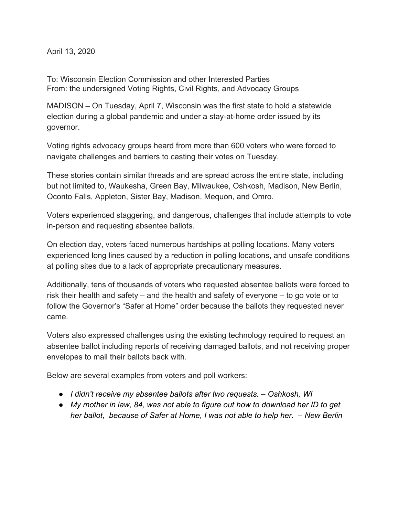April 13, 2020

To: Wisconsin Election Commission and other Interested Parties From: the undersigned Voting Rights, Civil Rights, and Advocacy Groups

MADISON – On Tuesday, April 7, Wisconsin was the first state to hold a statewide election during a global pandemic and under a stay-at-home order issued by its governor.

Voting rights advocacy groups heard from more than 600 voters who were forced to navigate challenges and barriers to casting their votes on Tuesday.

These stories contain similar threads and are spread across the entire state, including but not limited to, Waukesha, Green Bay, Milwaukee, Oshkosh, Madison, New Berlin, Oconto Falls, Appleton, Sister Bay, Madison, Mequon, and Omro.

Voters experienced staggering, and dangerous, challenges that include attempts to vote in-person and requesting absentee ballots.

On election day, voters faced numerous hardships at polling locations. Many voters experienced long lines caused by a reduction in polling locations, and unsafe conditions at polling sites due to a lack of appropriate precautionary measures.

Additionally, tens of thousands of voters who requested absentee ballots were forced to risk their health and safety – and the health and safety of everyone – to go vote or to follow the Governor's "Safer at Home" order because the ballots they requested never came.

Voters also expressed challenges using the existing technology required to request an absentee ballot including reports of receiving damaged ballots, and not receiving proper envelopes to mail their ballots back with.

Below are several examples from voters and poll workers:

- *● I didn't receive my absentee ballots after two requests. Oshkosh, WI*
- *● My mother in law, 84, was not able to figure out how to download her ID to get her ballot, because of Safer at Home, I was not able to help her. – New Berlin*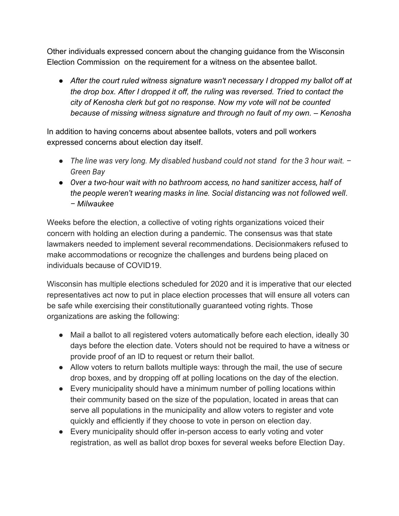Other individuals expressed concern about the changing guidance from the Wisconsin Election Commission on the requirement for a witness on the absentee ballot.

● *After the court ruled witness signature wasn't necessary I dropped my ballot off at the drop box. After I dropped it off, the ruling was reversed. Tried to contact the city of Kenosha clerk but got no response. Now my vote will not be counted because of missing witness signature and through no fault of my own. – Kenosha*

In addition to having concerns about absentee ballots, voters and poll workers expressed concerns about election day itself.

- *● The line was very long. My disabled husband could not stand for the 3 hour wait. – Green Bay*
- *Over a two-hour wait with no bathroom access, no hand sanitizer access, half of the people weren't wearing masks in line. Social distancing was not followed well*. *– Milwaukee*

Weeks before the election, a collective of voting rights organizations voiced their concern with holding an election during a pandemic. The consensus was that state lawmakers needed to implement several recommendations. Decisionmakers refused to make accommodations or recognize the challenges and burdens being placed on individuals because of COVID19.

Wisconsin has multiple elections scheduled for 2020 and it is imperative that our elected representatives act now to put in place election processes that will ensure all voters can be safe while exercising their constitutionally guaranteed voting rights. Those organizations are asking the following:

- Mail a ballot to all registered voters automatically before each election, ideally 30 days before the election date. Voters should not be required to have a witness or provide proof of an ID to request or return their ballot.
- Allow voters to return ballots multiple ways: through the mail, the use of secure drop boxes, and by dropping off at polling locations on the day of the election.
- Every municipality should have a minimum number of polling locations within their community based on the size of the population, located in areas that can serve all populations in the municipality and allow voters to register and vote quickly and efficiently if they choose to vote in person on election day.
- Every municipality should offer in-person access to early voting and voter registration, as well as ballot drop boxes for several weeks before Election Day.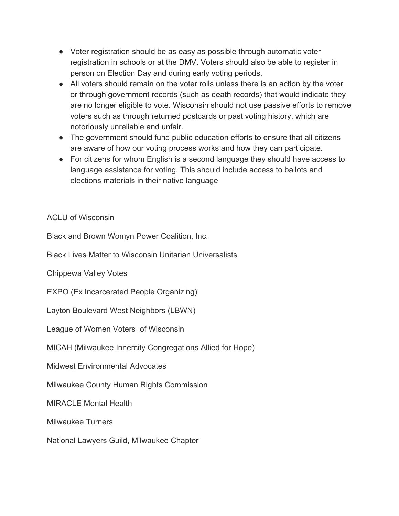- Voter registration should be as easy as possible through automatic voter registration in schools or at the DMV. Voters should also be able to register in person on Election Day and during early voting periods.
- All voters should remain on the voter rolls unless there is an action by the voter or through government records (such as death records) that would indicate they are no longer eligible to vote. Wisconsin should not use passive efforts to remove voters such as through returned postcards or past voting history, which are notoriously unreliable and unfair.
- The government should fund public education efforts to ensure that all citizens are aware of how our voting process works and how they can participate.
- For citizens for whom English is a second language they should have access to language assistance for voting. This should include access to ballots and elections materials in their native language

ACLU of Wisconsin

Black and Brown Womyn Power Coalition, Inc.

Black Lives Matter to Wisconsin Unitarian Universalists

Chippewa Valley Votes

EXPO (Ex Incarcerated People Organizing)

Layton Boulevard West Neighbors (LBWN)

League of Women Voters of Wisconsin

MICAH (Milwaukee Innercity Congregations Allied for Hope)

Midwest Environmental Advocates

Milwaukee County Human Rights Commission

MIRACLE Mental Health

Milwaukee Turners

National Lawyers Guild, Milwaukee Chapter